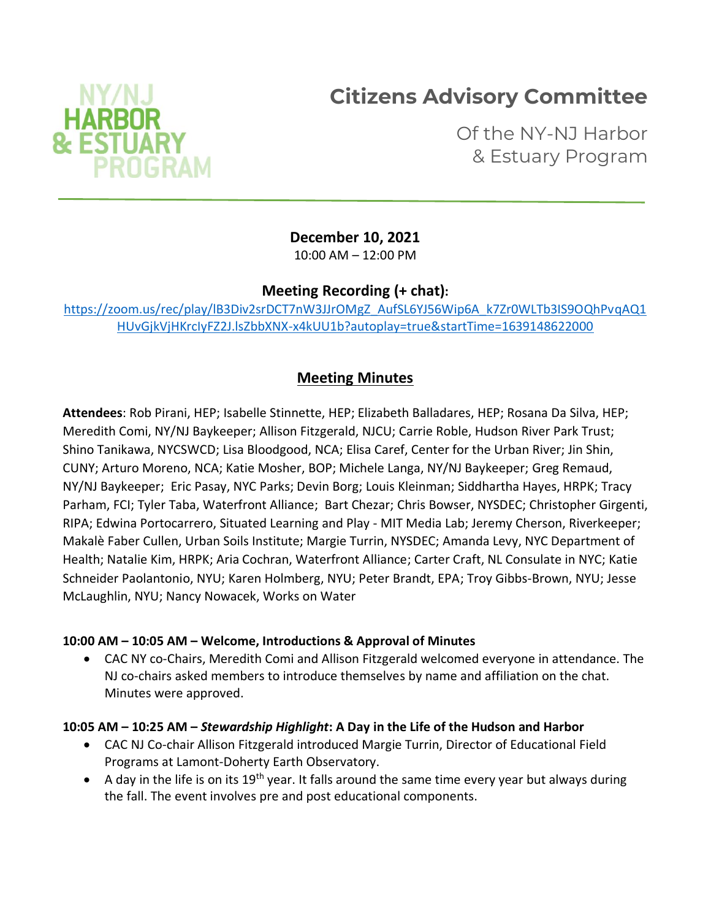# **Citizens Advisory Committee**



Of the NY-NJ Harbor & Estuary Program

**December 10, 2021**

10:00 AM – 12:00 PM

**Meeting Recording (+ chat):**

[https://zoom.us/rec/play/lB3Div2srDCT7nW3JJrOMgZ\\_AufSL6YJ56Wip6A\\_k7Zr0WLTb3IS9OQhPvqAQ1](https://zoom.us/rec/play/lB3Div2srDCT7nW3JJrOMgZ_AufSL6YJ56Wip6A_k7Zr0WLTb3IS9OQhPvqAQ1HUvGjkVjHKrcIyFZ2J.lsZbbXNX-x4kUU1b?autoplay=true&startTime=1639148622000) [HUvGjkVjHKrcIyFZ2J.lsZbbXNX-x4kUU1b?autoplay=true&startTime=1639148622000](https://zoom.us/rec/play/lB3Div2srDCT7nW3JJrOMgZ_AufSL6YJ56Wip6A_k7Zr0WLTb3IS9OQhPvqAQ1HUvGjkVjHKrcIyFZ2J.lsZbbXNX-x4kUU1b?autoplay=true&startTime=1639148622000)

# **Meeting Minutes**

**Attendees**: Rob Pirani, HEP; Isabelle Stinnette, HEP; Elizabeth Balladares, HEP; Rosana Da Silva, HEP; Meredith Comi, NY/NJ Baykeeper; Allison Fitzgerald, NJCU; Carrie Roble, Hudson River Park Trust; Shino Tanikawa, NYCSWCD; Lisa Bloodgood, NCA; Elisa Caref, Center for the Urban River; Jin Shin, CUNY; Arturo Moreno, NCA; Katie Mosher, BOP; Michele Langa, NY/NJ Baykeeper; Greg Remaud, NY/NJ Baykeeper; Eric Pasay, NYC Parks; Devin Borg; Louis Kleinman; Siddhartha Hayes, HRPK; Tracy Parham, FCI; Tyler Taba, Waterfront Alliance; Bart Chezar; Chris Bowser, NYSDEC; Christopher Girgenti, RIPA; Edwina Portocarrero, Situated Learning and Play - MIT Media Lab; Jeremy Cherson, Riverkeeper; Makalè Faber Cullen, Urban Soils Institute; Margie Turrin, NYSDEC; Amanda Levy, NYC Department of Health; Natalie Kim, HRPK; Aria Cochran, Waterfront Alliance; Carter Craft, NL Consulate in NYC; Katie Schneider Paolantonio, NYU; Karen Holmberg, NYU; Peter Brandt, EPA; Troy Gibbs-Brown, NYU; Jesse McLaughlin, NYU; Nancy Nowacek, Works on Water

#### **10:00 AM – 10:05 AM – Welcome, Introductions & Approval of Minutes**

• CAC NY co-Chairs, Meredith Comi and Allison Fitzgerald welcomed everyone in attendance. The NJ co-chairs asked members to introduce themselves by name and affiliation on the chat. Minutes were approved.

#### **10:05 AM – 10:25 AM –** *Stewardship Highlight***: A Day in the Life of the Hudson and Harbor**

- CAC NJ Co-chair Allison Fitzgerald introduced Margie Turrin, Director of Educational Field Programs at Lamont-Doherty Earth Observatory.
- A day in the life is on its  $19<sup>th</sup>$  year. It falls around the same time every year but always during the fall. The event involves pre and post educational components.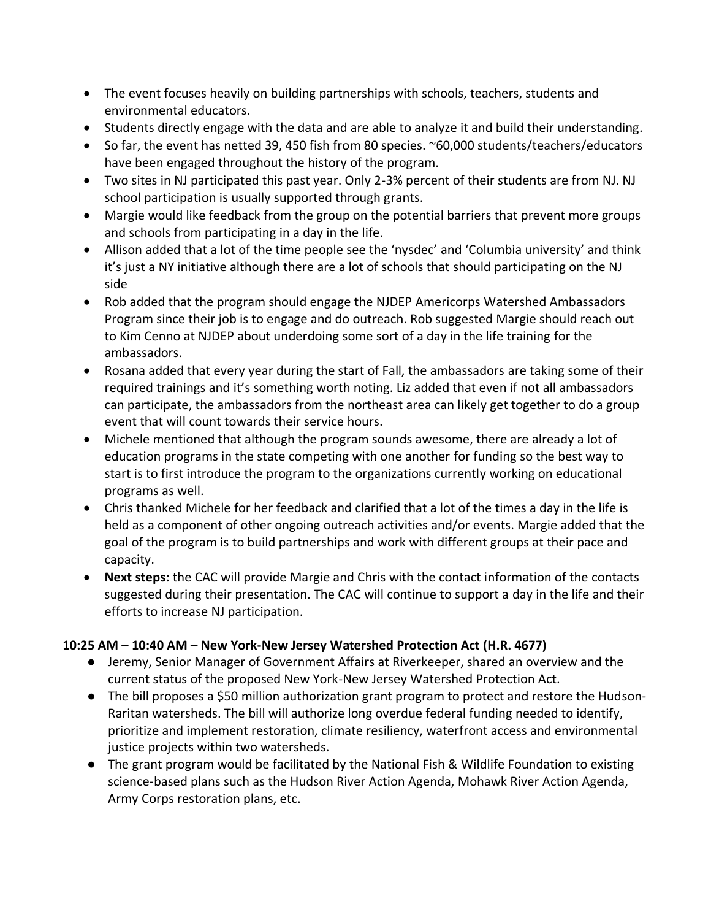- The event focuses heavily on building partnerships with schools, teachers, students and environmental educators.
- Students directly engage with the data and are able to analyze it and build their understanding.
- So far, the event has netted 39, 450 fish from 80 species. ~60,000 students/teachers/educators have been engaged throughout the history of the program.
- Two sites in NJ participated this past year. Only 2-3% percent of their students are from NJ. NJ school participation is usually supported through grants.
- Margie would like feedback from the group on the potential barriers that prevent more groups and schools from participating in a day in the life.
- Allison added that a lot of the time people see the 'nysdec' and 'Columbia university' and think it's just a NY initiative although there are a lot of schools that should participating on the NJ side
- Rob added that the program should engage the NJDEP Americorps Watershed Ambassadors Program since their job is to engage and do outreach. Rob suggested Margie should reach out to Kim Cenno at NJDEP about underdoing some sort of a day in the life training for the ambassadors.
- Rosana added that every year during the start of Fall, the ambassadors are taking some of their required trainings and it's something worth noting. Liz added that even if not all ambassadors can participate, the ambassadors from the northeast area can likely get together to do a group event that will count towards their service hours.
- Michele mentioned that although the program sounds awesome, there are already a lot of education programs in the state competing with one another for funding so the best way to start is to first introduce the program to the organizations currently working on educational programs as well.
- Chris thanked Michele for her feedback and clarified that a lot of the times a day in the life is held as a component of other ongoing outreach activities and/or events. Margie added that the goal of the program is to build partnerships and work with different groups at their pace and capacity.
- **Next steps:** the CAC will provide Margie and Chris with the contact information of the contacts suggested during their presentation. The CAC will continue to support a day in the life and their efforts to increase NJ participation.

#### **10:25 AM – 10:40 AM – New York-New Jersey Watershed Protection Act (H.R. 4677)**

- Jeremy, Senior Manager of Government Affairs at Riverkeeper, shared an overview and the current status of the proposed New York-New Jersey Watershed Protection Act.
- The bill proposes a \$50 million authorization grant program to protect and restore the Hudson-Raritan watersheds. The bill will authorize long overdue federal funding needed to identify, prioritize and implement restoration, climate resiliency, waterfront access and environmental justice projects within two watersheds.
- The grant program would be facilitated by the National Fish & Wildlife Foundation to existing science-based plans such as the Hudson River Action Agenda, Mohawk River Action Agenda, Army Corps restoration plans, etc.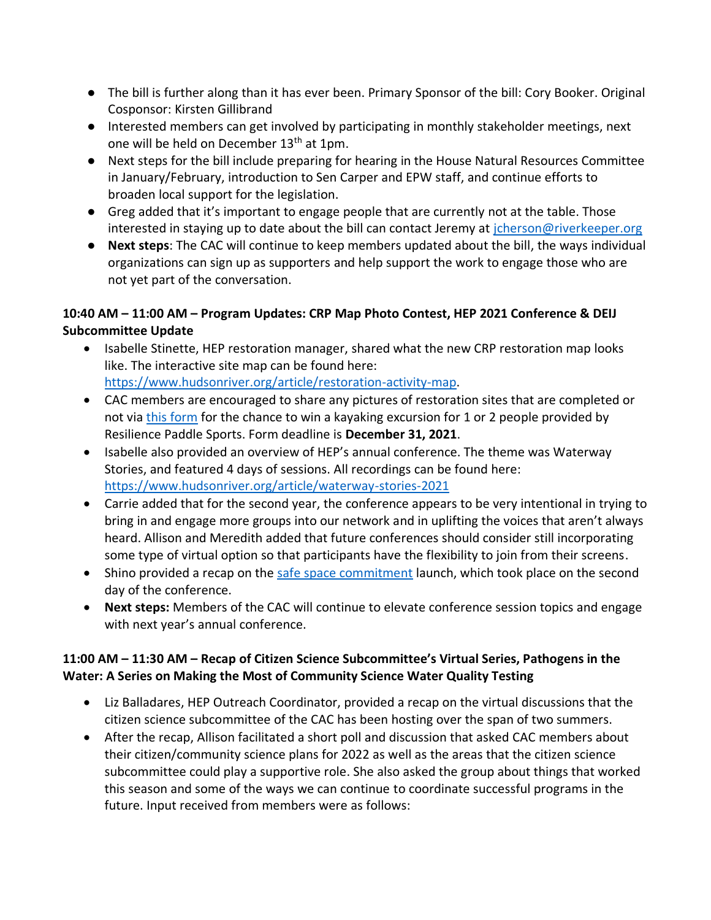- The bill is further along than it has ever been. Primary Sponsor of the bill: Cory Booker. Original Cosponsor: Kirsten Gillibrand
- Interested members can get involved by participating in monthly stakeholder meetings, next one will be held on December 13<sup>th</sup> at 1pm.
- Next steps for the bill include preparing for hearing in the House Natural Resources Committee in January/February, introduction to Sen Carper and EPW staff, and continue efforts to broaden local support for the legislation.
- Greg added that it's important to engage people that are currently not at the table. Those interested in staying up to date about the bill can contact Jeremy at [jcherson@riverkeeper.org](mailto:jcherson@riverkeeper.org)
- **Next steps**: The CAC will continue to keep members updated about the bill, the ways individual organizations can sign up as supporters and help support the work to engage those who are not yet part of the conversation.

## **10:40 AM – 11:00 AM – Program Updates: CRP Map Photo Contest, HEP 2021 Conference & DEIJ Subcommittee Update**

- Isabelle Stinette, HEP restoration manager, shared what the new CRP restoration map looks like. The interactive site map can be found here: [https://www.hudsonriver.org/article/restoration-activity-map.](https://www.hudsonriver.org/article/restoration-activity-map)
- CAC members are encouraged to share any pictures of restoration sites that are completed or not via [this form](https://docs.google.com/forms/d/e/1FAIpQLSeKnwnPE7OWWIt7Wop0Ss-fFaqUAPyHZ6H0FJCsLGi9RXu3kg/viewform) for the chance to win a kayaking excursion for 1 or 2 people provided by Resilience Paddle Sports. Form deadline is **December 31, 2021**.
- Isabelle also provided an overview of HEP's annual conference. The theme was Waterway Stories, and featured 4 days of sessions. All recordings can be found here: <https://www.hudsonriver.org/article/waterway-stories-2021>
- Carrie added that for the second year, the conference appears to be very intentional in trying to bring in and engage more groups into our network and in uplifting the voices that aren't always heard. Allison and Meredith added that future conferences should consider still incorporating some type of virtual option so that participants have the flexibility to join from their screens.
- Shino provided a recap on the [safe space commitment](https://www.hudsonriver.org/article/safe-spaces) launch, which took place on the second day of the conference.
- **Next steps:** Members of the CAC will continue to elevate conference session topics and engage with next year's annual conference.

## **11:00 AM – 11:30 AM – Recap of Citizen Science Subcommittee's Virtual Series, Pathogens in the Water: A Series on Making the Most of Community Science Water Quality Testing**

- Liz Balladares, HEP Outreach Coordinator, provided a recap on the virtual discussions that the citizen science subcommittee of the CAC has been hosting over the span of two summers.
- After the recap, Allison facilitated a short poll and discussion that asked CAC members about their citizen/community science plans for 2022 as well as the areas that the citizen science subcommittee could play a supportive role. She also asked the group about things that worked this season and some of the ways we can continue to coordinate successful programs in the future. Input received from members were as follows: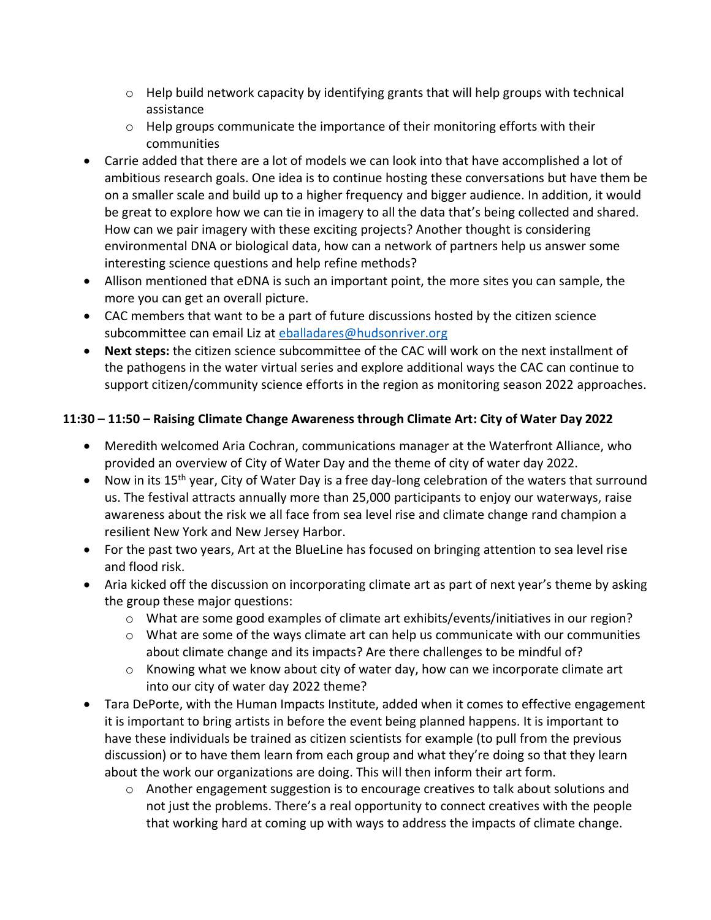- $\circ$  Help build network capacity by identifying grants that will help groups with technical assistance
- $\circ$  Help groups communicate the importance of their monitoring efforts with their communities
- Carrie added that there are a lot of models we can look into that have accomplished a lot of ambitious research goals. One idea is to continue hosting these conversations but have them be on a smaller scale and build up to a higher frequency and bigger audience. In addition, it would be great to explore how we can tie in imagery to all the data that's being collected and shared. How can we pair imagery with these exciting projects? Another thought is considering environmental DNA or biological data, how can a network of partners help us answer some interesting science questions and help refine methods?
- Allison mentioned that eDNA is such an important point, the more sites you can sample, the more you can get an overall picture.
- CAC members that want to be a part of future discussions hosted by the citizen science subcommittee can email Liz at [eballadares@hudsonriver.org](mailto:eballadares@hudsonriver.org)
- **Next steps:** the citizen science subcommittee of the CAC will work on the next installment of the pathogens in the water virtual series and explore additional ways the CAC can continue to support citizen/community science efforts in the region as monitoring season 2022 approaches.

#### **11:30 – 11:50 – Raising Climate Change Awareness through Climate Art: City of Water Day 2022**

- Meredith welcomed Aria Cochran, communications manager at the Waterfront Alliance, who provided an overview of City of Water Day and the theme of city of water day 2022.
- Now in its 15<sup>th</sup> year, City of Water Day is a free day-long celebration of the waters that surround us. The festival attracts annually more than 25,000 participants to enjoy our waterways, raise awareness about the risk we all face from sea level rise and climate change rand champion a resilient New York and New Jersey Harbor.
- For the past two years, Art at the BlueLine has focused on bringing attention to sea level rise and flood risk.
- Aria kicked off the discussion on incorporating climate art as part of next year's theme by asking the group these major questions:
	- o What are some good examples of climate art exhibits/events/initiatives in our region?
	- $\circ$  What are some of the ways climate art can help us communicate with our communities about climate change and its impacts? Are there challenges to be mindful of?
	- o Knowing what we know about city of water day, how can we incorporate climate art into our city of water day 2022 theme?
- Tara DePorte, with the Human Impacts Institute, added when it comes to effective engagement it is important to bring artists in before the event being planned happens. It is important to have these individuals be trained as citizen scientists for example (to pull from the previous discussion) or to have them learn from each group and what they're doing so that they learn about the work our organizations are doing. This will then inform their art form.
	- $\circ$  Another engagement suggestion is to encourage creatives to talk about solutions and not just the problems. There's a real opportunity to connect creatives with the people that working hard at coming up with ways to address the impacts of climate change.